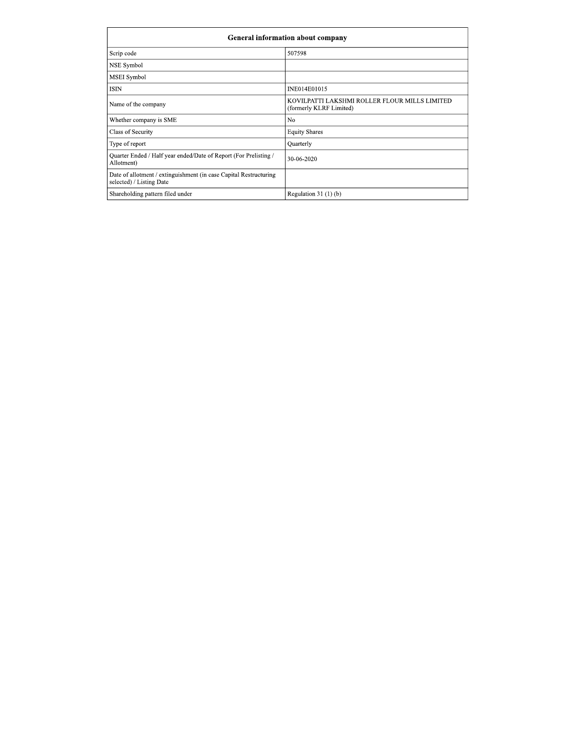| Scrip code                                                                                    | 507598                                                                   |
|-----------------------------------------------------------------------------------------------|--------------------------------------------------------------------------|
| NSE Symbol                                                                                    |                                                                          |
| MSEI Symbol                                                                                   |                                                                          |
| <b>ISIN</b>                                                                                   | INE014E01015                                                             |
| Name of the company                                                                           | KOVILPATTI LAKSHMI ROLLER FLOUR MILLS LIMITED<br>(formerly KLRF Limited) |
| Whether company is SME                                                                        | N <sub>o</sub>                                                           |
| Class of Security                                                                             | <b>Equity Shares</b>                                                     |
| Type of report                                                                                | Quarterly                                                                |
| Quarter Ended / Half year ended/Date of Report (For Prelisting /<br>Allotment)                | 30-06-2020                                                               |
| Date of allotment / extinguishment (in case Capital Restructuring<br>selected) / Listing Date |                                                                          |
| Shareholding pattern filed under                                                              | Regulation $31(1)(b)$                                                    |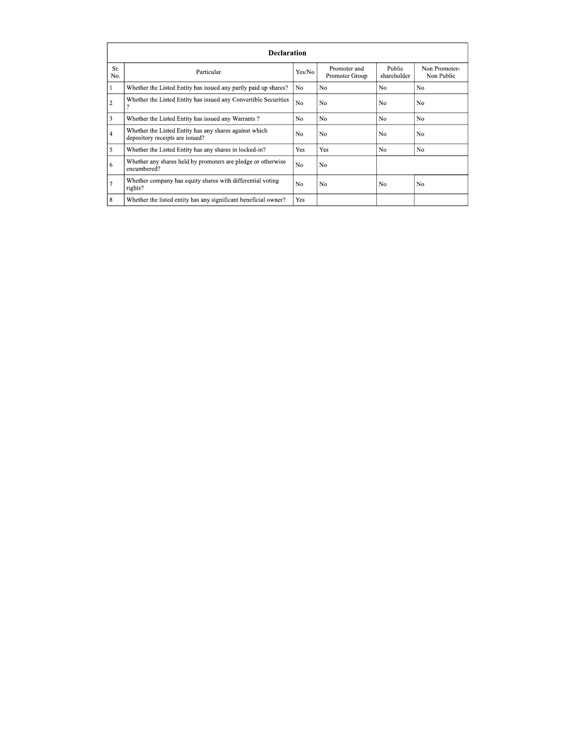|                | <b>Declaration</b>                                                                        |                |                                |                       |                             |  |  |  |  |
|----------------|-------------------------------------------------------------------------------------------|----------------|--------------------------------|-----------------------|-----------------------------|--|--|--|--|
| Sr.<br>No.     | Particular                                                                                | Yes/No         | Promoter and<br>Promoter Group | Public<br>shareholder | Non Promoter-<br>Non Public |  |  |  |  |
|                | Whether the Listed Entity has issued any partly paid up shares?                           | N <sub>0</sub> | N <sub>0</sub>                 | N <sub>0</sub>        | N <sub>0</sub>              |  |  |  |  |
| 2              | Whether the Listed Entity has issued any Convertible Securities                           | No.            | N <sub>0</sub>                 | No                    | N <sub>0</sub>              |  |  |  |  |
| 3              | Whether the Listed Entity has issued any Warrants?                                        | N <sub>0</sub> | N <sub>0</sub>                 | N <sub>0</sub>        | N <sub>0</sub>              |  |  |  |  |
| $\overline{4}$ | Whether the Listed Entity has any shares against which<br>depository receipts are issued? | No.            | N <sub>0</sub>                 | N <sub>0</sub>        | N <sub>0</sub>              |  |  |  |  |
| 5              | Whether the Listed Entity has any shares in locked-in?                                    | Yes            | Yes                            | N <sub>0</sub>        | N <sub>0</sub>              |  |  |  |  |
| 6              | Whether any shares held by promoters are pledge or otherwise<br>encumbered?               | No.            | No                             |                       |                             |  |  |  |  |
|                | Whether company has equity shares with differential voting<br>rights?                     | N <sub>0</sub> | N <sub>0</sub>                 | N <sub>0</sub>        | N <sub>0</sub>              |  |  |  |  |
| 8              | Whether the listed entity has any significant beneficial owner?                           | Yes            |                                |                       |                             |  |  |  |  |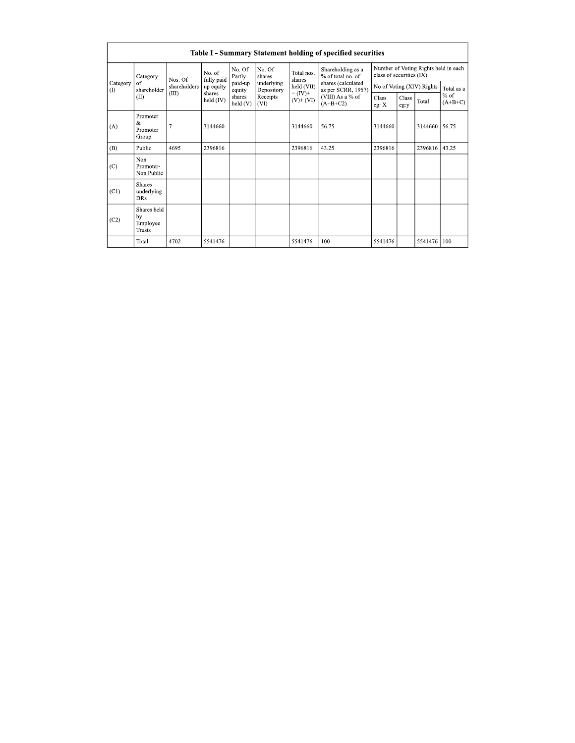|                      | Table I - Summary Statement holding of specified securities |              |                                                          |                                                            |                                              |                             |                                                                                                                      |                                                                  |               |         |                     |
|----------------------|-------------------------------------------------------------|--------------|----------------------------------------------------------|------------------------------------------------------------|----------------------------------------------|-----------------------------|----------------------------------------------------------------------------------------------------------------------|------------------------------------------------------------------|---------------|---------|---------------------|
|                      | Category                                                    | Nos. Of      | No. of<br>fully paid<br>up equity<br>shares<br>held (IV) | No. Of<br>Partly<br>paid-up<br>equity<br>shares<br>held(V) | No. Of<br>shares                             | Total nos.<br>shares        | Shareholding as a<br>% of total no. of<br>shares (calculated<br>as per SCRR, 1957)<br>(VIII) As a % of<br>$(A+B+C2)$ | Number of Voting Rights held in each<br>class of securities (IX) |               |         |                     |
| Category<br>$\Omega$ | of<br>shareholder                                           | shareholders |                                                          |                                                            | underlying<br>Depository<br>Receipts<br>(VI) | held (VII)                  |                                                                                                                      | No of Voting (XIV) Rights                                        |               |         | Total as a          |
|                      | (II)                                                        | (III)        |                                                          |                                                            |                                              | $= (IV) +$<br>$(V)$ + $(V)$ |                                                                                                                      | Class<br>eg: X                                                   | Class<br>eg:y | Total   | $%$ of<br>$(A+B+C)$ |
| (A)                  | Promoter<br>&<br>Promoter<br>Group                          |              | 3144660                                                  |                                                            |                                              | 3144660                     | 56.75                                                                                                                | 3144660                                                          |               | 3144660 | 56.75               |
| (B)                  | Public                                                      | 4695         | 2396816                                                  |                                                            |                                              | 2396816                     | 43.25                                                                                                                | 2396816                                                          |               | 2396816 | 43.25               |
| (C)                  | Non<br>Promoter-<br>Non Public                              |              |                                                          |                                                            |                                              |                             |                                                                                                                      |                                                                  |               |         |                     |
| (C1)                 | <b>Shares</b><br>underlying<br><b>DRs</b>                   |              |                                                          |                                                            |                                              |                             |                                                                                                                      |                                                                  |               |         |                     |
| (C2)                 | Shares held<br>by<br>Employee<br><b>Trusts</b>              |              |                                                          |                                                            |                                              |                             |                                                                                                                      |                                                                  |               |         |                     |
|                      | Total                                                       | 4702         | 5541476                                                  |                                                            |                                              | 5541476                     | 100                                                                                                                  | 5541476                                                          |               | 5541476 | 100                 |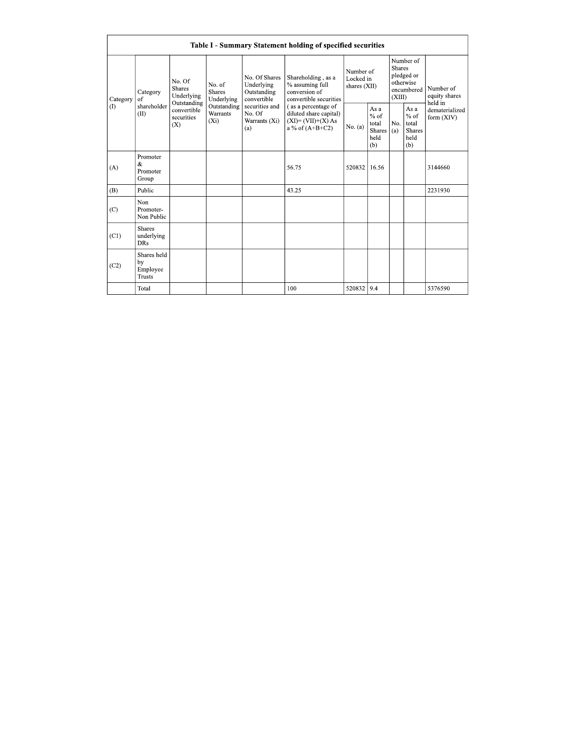| Table I - Summary Statement holding of specified securities |                                                |                                                                                          |                                       |                                                                                                               |                                                                                                                                                                               |                                        |                                                  |                                                                               |                                                         |                                       |
|-------------------------------------------------------------|------------------------------------------------|------------------------------------------------------------------------------------------|---------------------------------------|---------------------------------------------------------------------------------------------------------------|-------------------------------------------------------------------------------------------------------------------------------------------------------------------------------|----------------------------------------|--------------------------------------------------|-------------------------------------------------------------------------------|---------------------------------------------------------|---------------------------------------|
| Category<br>(1)                                             | Category<br>of<br>shareholder<br>(II)          | No. Of<br><b>Shares</b><br>Underlying<br>Outstanding<br>convertible<br>securities<br>(X) | No. of<br><b>Shares</b><br>Underlying | No. Of Shares<br>Underlying<br>Outstanding<br>convertible<br>securities and<br>No. Of<br>Warrants (Xi)<br>(a) | Shareholding, as a<br>% assuming full<br>conversion of<br>convertible securities<br>(as a percentage of<br>diluted share capital)<br>$(XI)=(VII)+(X) As$<br>a % of $(A+B+C2)$ | Number of<br>Locked in<br>shares (XII) |                                                  | Number of<br><b>Shares</b><br>pledged or<br>otherwise<br>encumbered<br>(XIII) |                                                         | Number of<br>equity shares<br>held in |
|                                                             |                                                |                                                                                          | Outstanding<br>Warrants<br>$(X_i)$    |                                                                                                               |                                                                                                                                                                               | No. (a)                                | As a<br>$%$ of<br>total<br>Shares<br>held<br>(b) | No.<br>(a)                                                                    | As a<br>$%$ of<br>total<br><b>Shares</b><br>held<br>(b) | dematerialized<br>form $(XIV)$        |
| (A)                                                         | Promoter<br>&<br>Promoter<br>Group             |                                                                                          |                                       |                                                                                                               | 56.75                                                                                                                                                                         | 520832                                 | 16.56                                            |                                                                               |                                                         | 3144660                               |
| (B)                                                         | Public                                         |                                                                                          |                                       |                                                                                                               | 43.25                                                                                                                                                                         |                                        |                                                  |                                                                               |                                                         | 2231930                               |
| (C)                                                         | Non<br>Promoter-<br>Non Public                 |                                                                                          |                                       |                                                                                                               |                                                                                                                                                                               |                                        |                                                  |                                                                               |                                                         |                                       |
| (C1)                                                        | <b>Shares</b><br>underlying<br><b>DRs</b>      |                                                                                          |                                       |                                                                                                               |                                                                                                                                                                               |                                        |                                                  |                                                                               |                                                         |                                       |
| (C2)                                                        | Shares held<br>by<br>Employee<br><b>Trusts</b> |                                                                                          |                                       |                                                                                                               |                                                                                                                                                                               |                                        |                                                  |                                                                               |                                                         |                                       |
|                                                             | Total                                          |                                                                                          |                                       |                                                                                                               | 100                                                                                                                                                                           | 520832 9.4                             |                                                  |                                                                               |                                                         | 5376590                               |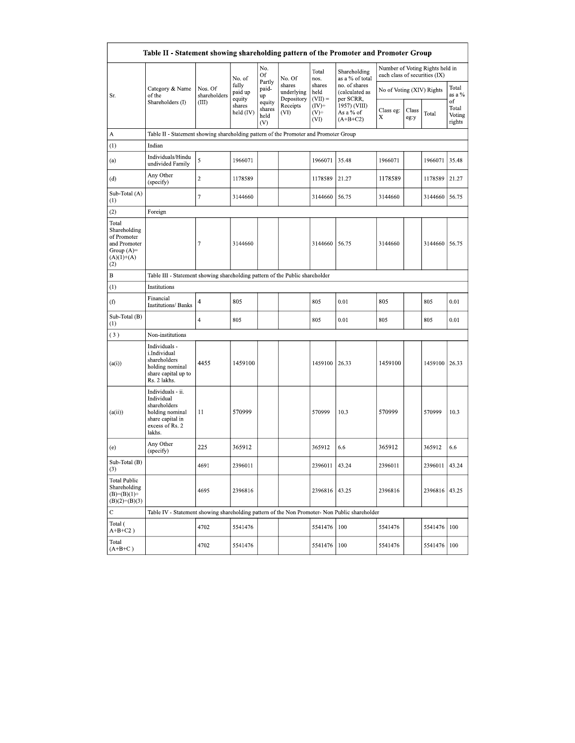|                                                                                              | Table II - Statement showing shareholding pattern of the Promoter and Promoter Group                                |                                                                              |                            |                                 |                                    |                             |                                              |                               |               |                                 |                                 |
|----------------------------------------------------------------------------------------------|---------------------------------------------------------------------------------------------------------------------|------------------------------------------------------------------------------|----------------------------|---------------------------------|------------------------------------|-----------------------------|----------------------------------------------|-------------------------------|---------------|---------------------------------|---------------------------------|
|                                                                                              |                                                                                                                     |                                                                              | No. of                     | No.<br>Of                       | No. Of                             | Total<br>nos.               | Shareholding<br>as a % of total              | each class of securities (IX) |               | Number of Voting Rights held in |                                 |
| Sr.                                                                                          | Category & Name<br>of the                                                                                           | Nos. Of<br>shareholders                                                      | fully<br>paid up<br>equity | Partly<br>paid-<br>up           | shares<br>underlying<br>Depository | shares<br>held<br>$(VII) =$ | no. of shares<br>(calculated as<br>per SCRR, | No of Voting (XIV) Rights     |               |                                 | Total<br>as a %                 |
|                                                                                              | Shareholders (I)                                                                                                    | (III)                                                                        | shares<br>held (IV)        | equity<br>shares<br>held<br>(V) | Receipts<br>(VI)                   | $(IV)+$<br>$(V)^+$<br>(VI)  | 1957) (VIII)<br>As a % of<br>$(A+B+C2)$      | Class eg:<br>Х                | Class<br>eg:y | Total                           | of<br>Total<br>Voting<br>rights |
| А                                                                                            | Table II - Statement showing shareholding pattern of the Promoter and Promoter Group                                |                                                                              |                            |                                 |                                    |                             |                                              |                               |               |                                 |                                 |
| (1)                                                                                          | Indian                                                                                                              |                                                                              |                            |                                 |                                    |                             |                                              |                               |               |                                 |                                 |
| (a)                                                                                          | Individuals/Hindu<br>undivided Family                                                                               | 5                                                                            | 1966071                    |                                 |                                    | 1966071                     | 35.48                                        | 1966071                       |               | 1966071                         | 35.48                           |
| (d)                                                                                          | Any Other<br>(specify)                                                                                              | $\mathbf 2$                                                                  | 1178589                    |                                 |                                    | 1178589                     | 21.27                                        | 1178589                       |               | 1178589                         | 21.27                           |
| Sub-Total (A)<br>$\left(1\right)$                                                            |                                                                                                                     | 7                                                                            | 3144660                    |                                 |                                    | 3144660                     | 56.75                                        | 3144660                       |               | 3144660                         | 56.75                           |
| (2)                                                                                          | Foreign                                                                                                             |                                                                              |                            |                                 |                                    |                             |                                              |                               |               |                                 |                                 |
| Total<br>Shareholding<br>of Promoter<br>and Promoter<br>Group $(A)$ =<br>$(A)(1)+(A)$<br>(2) |                                                                                                                     | $\tau$                                                                       | 3144660                    |                                 |                                    | 3144660 56.75               |                                              | 3144660                       |               | 3144660                         | 56.75                           |
| B                                                                                            |                                                                                                                     | Table III - Statement showing shareholding pattern of the Public shareholder |                            |                                 |                                    |                             |                                              |                               |               |                                 |                                 |
| (1)                                                                                          | Institutions                                                                                                        |                                                                              |                            |                                 |                                    |                             |                                              |                               |               |                                 |                                 |
| (f)                                                                                          | Financial<br>Institutions/ Banks                                                                                    | 4                                                                            | 805                        |                                 |                                    | 805                         | 0.01                                         | 805                           |               | 805                             | 0.01                            |
| Sub-Total (B)<br>(1)                                                                         |                                                                                                                     | 4                                                                            | 805                        |                                 |                                    | 805                         | 0.01                                         | 805                           |               | 805                             | 0.01                            |
| (3)                                                                                          | Non-institutions                                                                                                    |                                                                              |                            |                                 |                                    |                             |                                              |                               |               |                                 |                                 |
| (a(i))                                                                                       | Individuals -<br>i.Individual<br>shareholders<br>holding nominal<br>share capital up to<br>Rs. 2 lakhs.             | 4455                                                                         | 1459100                    |                                 |                                    | 1459100                     | 26.33                                        | 1459100                       |               | 1459100 26.33                   |                                 |
| (a(ii))                                                                                      | Individuals - ii.<br>Individual<br>shareholders<br>holding nominal<br>share capital in<br>excess of Rs. 2<br>lakhs. | 11                                                                           | 570999                     |                                 |                                    | 570999                      | 10.3                                         | 570999                        |               | 570999                          | 10.3                            |
| (e)                                                                                          | Any Other<br>(specify)                                                                                              | 225                                                                          | 365912                     |                                 |                                    | 365912                      | 6.6                                          | 365912                        |               | 365912                          | 6.6                             |
| Sub-Total (B)<br>(3)                                                                         |                                                                                                                     | 4691                                                                         | 2396011                    |                                 |                                    | 2396011                     | 43.24                                        | 2396011                       |               | 2396011                         | 43.24                           |
| <b>Total Public</b><br>Shareholding<br>$(B)=(B)(1)+$<br>$(B)(2)+(B)(3)$                      |                                                                                                                     | 4695                                                                         | 2396816                    |                                 |                                    | 2396816 43.25               |                                              | 2396816                       |               | 2396816                         | 43.25                           |
| $\mathbf C$                                                                                  | Table IV - Statement showing shareholding pattern of the Non Promoter- Non Public shareholder                       |                                                                              |                            |                                 |                                    |                             |                                              |                               |               |                                 |                                 |
| Total (<br>$A+B+C2$ )                                                                        |                                                                                                                     | 4702                                                                         | 5541476                    |                                 |                                    | 5541476                     | 100                                          | 5541476                       |               | 5541476                         | 100                             |
| Total<br>$(A+B+C)$                                                                           |                                                                                                                     | 4702                                                                         | 5541476                    |                                 |                                    | 5541476                     | 100                                          | 5541476                       |               | 5541476                         | 100                             |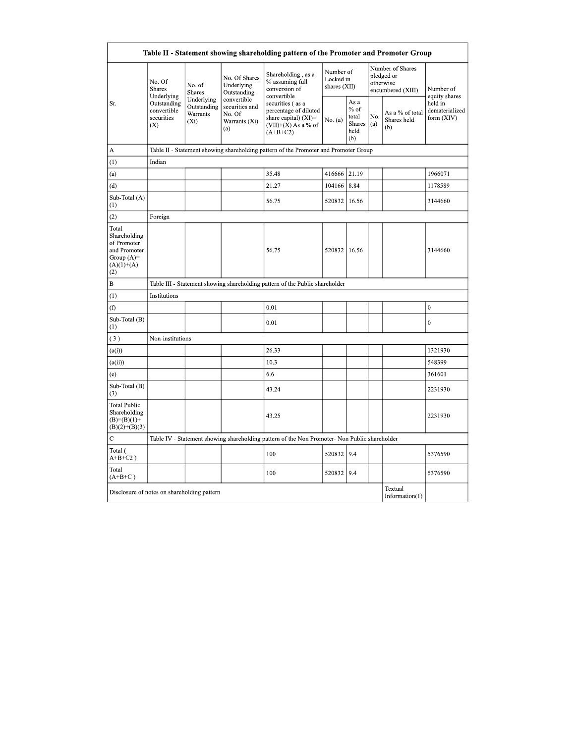|                                                                                             |                                                                                          |                                                  |                                                                 | Table II - Statement showing shareholding pattern of the Promoter and Promoter Group                     |         |                                                  |            |                                                                  |                                         |
|---------------------------------------------------------------------------------------------|------------------------------------------------------------------------------------------|--------------------------------------------------|-----------------------------------------------------------------|----------------------------------------------------------------------------------------------------------|---------|--------------------------------------------------|------------|------------------------------------------------------------------|-----------------------------------------|
| Sr.                                                                                         | No. Of<br><b>Shares</b><br>Underlying<br>Outstanding<br>convertible<br>securities<br>(X) | No. of<br><b>Shares</b>                          | No. Of Shares<br>Underlying<br>Outstanding                      | Shareholding, as a<br>% assuming full<br>conversion of<br>convertible                                    |         | Number of<br>Locked in<br>shares (XII)           |            | Number of Shares<br>pledged or<br>otherwise<br>encumbered (XIII) | Number of<br>equity shares              |
|                                                                                             |                                                                                          | Underlying<br>Outstanding<br>Warrants<br>$(X_i)$ | convertible<br>securities and<br>No. Of<br>Warrants (Xi)<br>(a) | securities (as a<br>percentage of diluted<br>share capital) (XI)=<br>$(VII)+(X)$ As a % of<br>$(A+B+C2)$ | No. (a) | As a<br>$%$ of<br>total<br>Shares<br>held<br>(b) | No.<br>(a) | As a % of total<br>Shares held<br>(b)                            | held in<br>dematerialized<br>form (XIV) |
| A                                                                                           |                                                                                          |                                                  |                                                                 | Table II - Statement showing shareholding pattern of the Promoter and Promoter Group                     |         |                                                  |            |                                                                  |                                         |
| (1)                                                                                         | Indian                                                                                   |                                                  |                                                                 |                                                                                                          |         |                                                  |            |                                                                  |                                         |
| (a)                                                                                         |                                                                                          |                                                  |                                                                 | 35.48                                                                                                    | 416666  | 21.19                                            |            |                                                                  | 1966071                                 |
| (d)                                                                                         |                                                                                          |                                                  |                                                                 | 21.27                                                                                                    | 104166  | 8.84                                             |            |                                                                  | 1178589                                 |
| Sub-Total (A)<br>(1)                                                                        |                                                                                          |                                                  |                                                                 | 56.75                                                                                                    | 520832  | 16.56                                            |            |                                                                  | 3144660                                 |
| (2)                                                                                         | Foreign                                                                                  |                                                  |                                                                 |                                                                                                          |         |                                                  |            |                                                                  |                                         |
| Total<br>Shareholding<br>of Promoter<br>and Promoter<br>Group $(A)=$<br>$(A)(1)+(A)$<br>(2) |                                                                                          |                                                  |                                                                 | 56.75                                                                                                    | 520832  | 16.56                                            |            |                                                                  | 3144660                                 |
| B                                                                                           |                                                                                          |                                                  |                                                                 | Table III - Statement showing shareholding pattern of the Public shareholder                             |         |                                                  |            |                                                                  |                                         |
| (1)                                                                                         | Institutions                                                                             |                                                  |                                                                 |                                                                                                          |         |                                                  |            |                                                                  |                                         |
| (f)                                                                                         |                                                                                          |                                                  |                                                                 | 0.01                                                                                                     |         |                                                  |            |                                                                  | $\mathbf{0}$                            |
| Sub-Total (B)<br>(1)                                                                        |                                                                                          |                                                  |                                                                 | 0.01                                                                                                     |         |                                                  |            |                                                                  | $\mathbf{0}$                            |
| (3)                                                                                         | Non-institutions                                                                         |                                                  |                                                                 |                                                                                                          |         |                                                  |            |                                                                  |                                         |
| (a(i))                                                                                      |                                                                                          |                                                  |                                                                 | 26.33                                                                                                    |         |                                                  |            |                                                                  | 1321930                                 |
| (a(ii))                                                                                     |                                                                                          |                                                  |                                                                 | 10.3                                                                                                     |         |                                                  |            |                                                                  | 548399                                  |
| (e)                                                                                         |                                                                                          |                                                  |                                                                 | 6.6                                                                                                      |         |                                                  |            |                                                                  | 361601                                  |
| Sub-Total (B)<br>(3)                                                                        |                                                                                          |                                                  |                                                                 | 43.24                                                                                                    |         |                                                  |            |                                                                  | 2231930                                 |
| <b>Total Public</b><br>Shareholding<br>$(B)=(B)(1)+$<br>$(B)(2)+(B)(3)$                     |                                                                                          |                                                  |                                                                 | 43.25                                                                                                    |         |                                                  |            |                                                                  | 2231930                                 |
| C                                                                                           |                                                                                          |                                                  |                                                                 | Table IV - Statement showing shareholding pattern of the Non Promoter- Non Public shareholder            |         |                                                  |            |                                                                  |                                         |
| Total (<br>$A+B+C2$ )                                                                       |                                                                                          |                                                  |                                                                 | 100                                                                                                      | 520832  | 9.4                                              |            |                                                                  | 5376590                                 |
| Total<br>$(A+B+C)$                                                                          |                                                                                          |                                                  |                                                                 | 100                                                                                                      | 520832  | 9.4                                              |            |                                                                  | 5376590                                 |
| Disclosure of notes on shareholding pattern                                                 |                                                                                          |                                                  |                                                                 |                                                                                                          |         |                                                  |            | Textual<br>Information $(1)$                                     |                                         |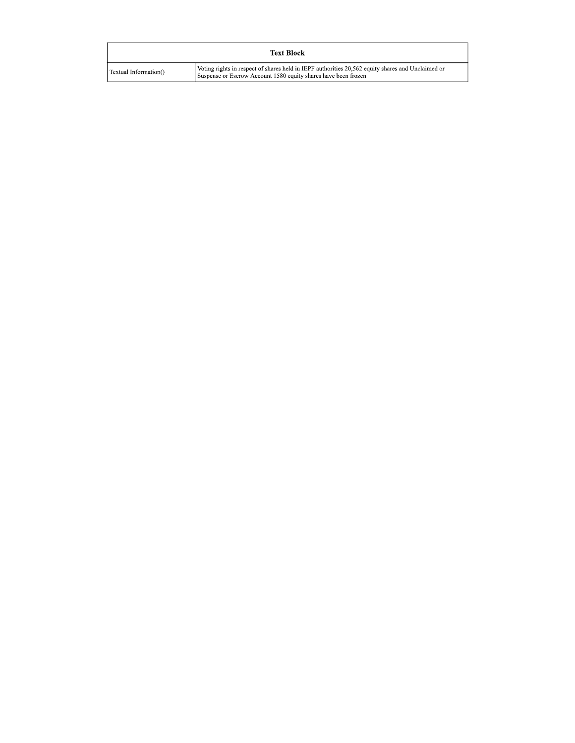| <b>Text Block</b>     |                                                                                                                                                                     |  |  |  |  |  |
|-----------------------|---------------------------------------------------------------------------------------------------------------------------------------------------------------------|--|--|--|--|--|
| Textual Information() | Voting rights in respect of shares held in IEPF authorities 20,562 equity shares and Unclaimed or<br>Suspense or Escrow Account 1580 equity shares have been frozen |  |  |  |  |  |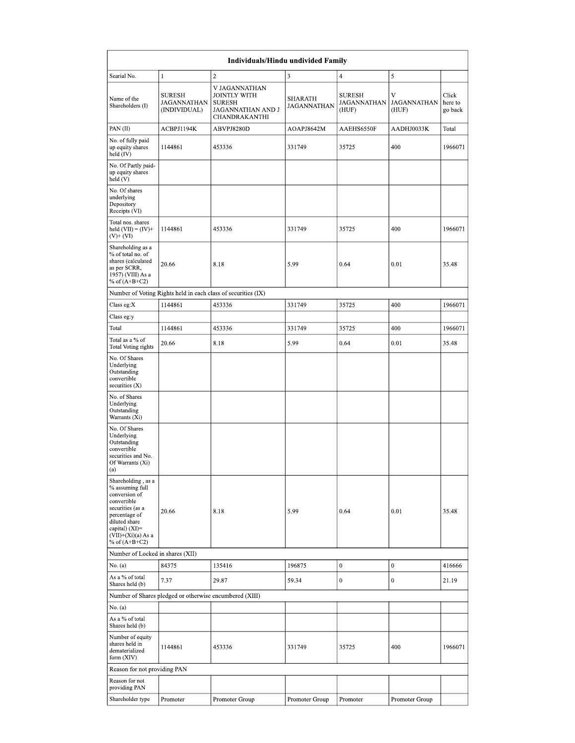| <b>Individuals/Hindu undivided Family</b>                                                                                                                                                |                                                         |                                                                                             |                                      |                                              |                                  |                             |  |  |
|------------------------------------------------------------------------------------------------------------------------------------------------------------------------------------------|---------------------------------------------------------|---------------------------------------------------------------------------------------------|--------------------------------------|----------------------------------------------|----------------------------------|-----------------------------|--|--|
| Searial No.                                                                                                                                                                              | 1                                                       | $\boldsymbol{2}$                                                                            | 3                                    | $\overline{4}$                               | 5                                |                             |  |  |
| Name of the<br>Shareholders (I)                                                                                                                                                          | <b>SURESH</b><br>JAGANNATHAN<br>(INDIVIDUAL)            | V JAGANNATHAN<br><b>JOINTLY WITH</b><br><b>SURESH</b><br>JAGANNATHAN AND J<br>CHANDRAKANTHI | <b>SHARATH</b><br><b>JAGANNATHAN</b> | <b>SURESH</b><br><b>JAGANNATHAN</b><br>(HUF) | V<br><b>JAGANNATHAN</b><br>(HUF) | Click<br>here to<br>go back |  |  |
| PAN (II)                                                                                                                                                                                 | ACBPJ1194K                                              | ABVPJ8280D                                                                                  | AOAPJ8642M                           | AAEHS6550F                                   | AADHJ0033K                       | Total                       |  |  |
| No. of fully paid<br>up equity shares<br>held (IV)                                                                                                                                       | 1144861                                                 | 453336                                                                                      | 331749                               | 35725                                        | 400                              | 1966071                     |  |  |
| No. Of Partly paid-<br>up equity shares<br>held(V)                                                                                                                                       |                                                         |                                                                                             |                                      |                                              |                                  |                             |  |  |
| No. Of shares<br>underlying<br>Depository<br>Receipts (VI)                                                                                                                               |                                                         |                                                                                             |                                      |                                              |                                  |                             |  |  |
| Total nos. shares<br>held $(VII) = (IV) +$<br>(V)+ (VI)                                                                                                                                  | 1144861                                                 | 453336                                                                                      | 331749                               | 35725                                        | 400                              | 1966071                     |  |  |
| Shareholding as a<br>% of total no. of<br>shares (calculated<br>as per SCRR,<br>1957) (VIII) As a<br>% of $(A+B+C2)$                                                                     | 20.66                                                   | 8.18                                                                                        | 5.99                                 | 0.64                                         | 0.01                             | 35.48                       |  |  |
|                                                                                                                                                                                          |                                                         | Number of Voting Rights held in each class of securities (IX)                               |                                      |                                              |                                  |                             |  |  |
| Class eg:X                                                                                                                                                                               | 1144861                                                 | 453336                                                                                      | 331749                               | 35725                                        | 400                              | 1966071                     |  |  |
| Class eg:y                                                                                                                                                                               |                                                         |                                                                                             |                                      |                                              |                                  |                             |  |  |
| Total                                                                                                                                                                                    | 1144861                                                 | 453336                                                                                      | 331749                               | 35725                                        | 400                              | 1966071                     |  |  |
| Total as a % of<br>Total Voting rights                                                                                                                                                   | 20.66                                                   | 8.18                                                                                        | 5.99                                 | 0.64                                         | 0.01                             | 35.48                       |  |  |
| No. Of Shares<br>Underlying<br>Outstanding<br>convertible<br>securities $(X)$                                                                                                            |                                                         |                                                                                             |                                      |                                              |                                  |                             |  |  |
| No. of Shares<br>Underlying<br>Outstanding<br>Warrants (Xi)                                                                                                                              |                                                         |                                                                                             |                                      |                                              |                                  |                             |  |  |
| No. Of Shares<br>Underlying<br>Outstanding<br>convertible<br>securities and No.<br>Of Warrants (Xi)<br>(a)                                                                               |                                                         |                                                                                             |                                      |                                              |                                  |                             |  |  |
| Shareholding, as a<br>% assuming full<br>conversion of<br>convertible<br>securities (as a<br>percentage of<br>diluted share<br>capital) $(XI)=$<br>(VII)+(Xi)(a) As a<br>% of $(A+B+C2)$ | 20.66                                                   | 8.18                                                                                        | 5.99                                 | 0.64                                         | 0.01                             | 35.48                       |  |  |
| Number of Locked in shares (XII)                                                                                                                                                         |                                                         |                                                                                             |                                      |                                              |                                  |                             |  |  |
| No. (a)                                                                                                                                                                                  | 84375                                                   | 135416                                                                                      | 196875                               | $\boldsymbol{0}$                             | $\boldsymbol{0}$                 | 416666                      |  |  |
| As a % of total<br>Shares held (b)                                                                                                                                                       | 7.37                                                    | 29.87                                                                                       | 59.34                                | $\mathbf{0}$                                 | $\mathbf{0}$                     | 21.19                       |  |  |
|                                                                                                                                                                                          | Number of Shares pledged or otherwise encumbered (XIII) |                                                                                             |                                      |                                              |                                  |                             |  |  |
| No. (a)                                                                                                                                                                                  |                                                         |                                                                                             |                                      |                                              |                                  |                             |  |  |
| As a % of total<br>Shares held (b)                                                                                                                                                       |                                                         |                                                                                             |                                      |                                              |                                  |                             |  |  |
| Number of equity<br>shares held in<br>dematerialized<br>form (XIV)                                                                                                                       | 1144861                                                 | 453336                                                                                      | 331749                               | 35725                                        | 400                              | 1966071                     |  |  |
| Reason for not providing PAN                                                                                                                                                             |                                                         |                                                                                             |                                      |                                              |                                  |                             |  |  |
| Reason for not<br>providing PAN                                                                                                                                                          |                                                         |                                                                                             |                                      |                                              |                                  |                             |  |  |
| Shareholder type                                                                                                                                                                         | Promoter                                                | Promoter Group                                                                              | Promoter Group                       | Promoter                                     | Promoter Group                   |                             |  |  |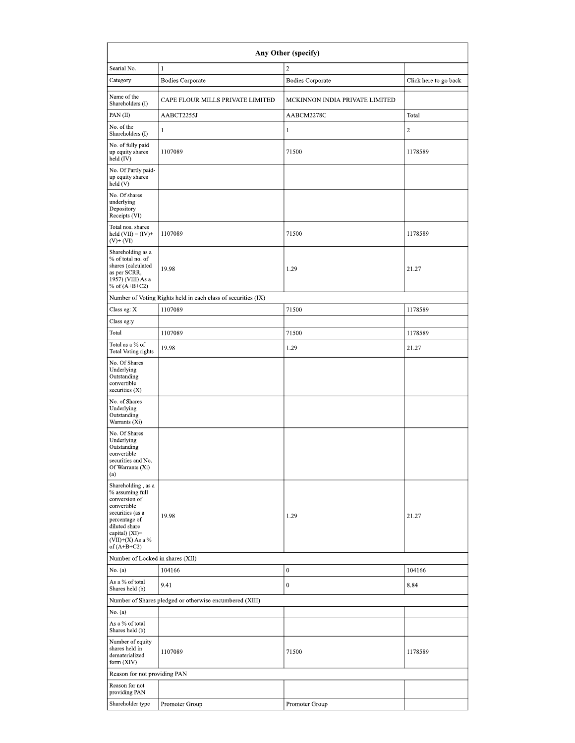| Any Other (specify)                                                                                                                                                                  |                                                               |                                |                       |  |  |  |  |  |
|--------------------------------------------------------------------------------------------------------------------------------------------------------------------------------------|---------------------------------------------------------------|--------------------------------|-----------------------|--|--|--|--|--|
| Searial No.                                                                                                                                                                          | $\mathbf{1}$                                                  | $\overline{\mathbf{c}}$        |                       |  |  |  |  |  |
| Category                                                                                                                                                                             | <b>Bodies Corporate</b>                                       | <b>Bodies Corporate</b>        | Click here to go back |  |  |  |  |  |
| Name of the<br>Shareholders (I)                                                                                                                                                      | CAPE FLOUR MILLS PRIVATE LIMITED                              | MCKINNON INDIA PRIVATE LIMITED |                       |  |  |  |  |  |
| PAN (II)                                                                                                                                                                             | AABCT2255J                                                    | AABCM2278C                     | Total                 |  |  |  |  |  |
| No. of the<br>Shareholders (I)                                                                                                                                                       | 1                                                             | 1                              | $\,2$                 |  |  |  |  |  |
| No. of fully paid<br>up equity shares<br>held (IV)                                                                                                                                   | 1107089                                                       | 71500                          | 1178589               |  |  |  |  |  |
| No. Of Partly paid-<br>up equity shares<br>held(V)                                                                                                                                   |                                                               |                                |                       |  |  |  |  |  |
| No. Of shares<br>underlying<br>Depository<br>Receipts (VI)                                                                                                                           |                                                               |                                |                       |  |  |  |  |  |
| Total nos. shares<br>held $(VII) = (IV) +$<br>$(V)$ + $(VI)$                                                                                                                         | 1107089                                                       | 71500                          | 1178589               |  |  |  |  |  |
| Shareholding as a<br>% of total no. of<br>shares (calculated<br>as per SCRR,<br>1957) (VIII) As a<br>% of $(A+B+C2)$                                                                 | 19.98                                                         | 1.29                           | 21.27                 |  |  |  |  |  |
|                                                                                                                                                                                      | Number of Voting Rights held in each class of securities (IX) |                                |                       |  |  |  |  |  |
| Class eg: X                                                                                                                                                                          | 1107089                                                       | 71500                          | 1178589               |  |  |  |  |  |
| Class eg:y                                                                                                                                                                           |                                                               |                                |                       |  |  |  |  |  |
| Total                                                                                                                                                                                | 1107089                                                       | 71500                          | 1178589               |  |  |  |  |  |
| Total as a % of<br><b>Total Voting rights</b>                                                                                                                                        | 19.98                                                         | 1.29                           | 21.27                 |  |  |  |  |  |
| No. Of Shares<br>Underlying<br>Outstanding<br>convertible<br>securities (X)                                                                                                          |                                                               |                                |                       |  |  |  |  |  |
| No. of Shares<br>Underlying<br>Outstanding<br>Warrants (Xi)                                                                                                                          |                                                               |                                |                       |  |  |  |  |  |
| No. Of Shares<br>Underlying<br>Outstanding<br>convertible<br>securities and No.<br>Of Warrants (Xi)<br>(a)                                                                           |                                                               |                                |                       |  |  |  |  |  |
| Shareholding, as a<br>% assuming full<br>conversion of<br>convertible<br>securities (as a<br>percentage of<br>diluted share<br>capital) (XI)=<br>$(VII)+(X)$ As a %<br>of $(A+B+C2)$ | 19.98                                                         | 1.29                           | 21.27                 |  |  |  |  |  |
| Number of Locked in shares (XII)                                                                                                                                                     |                                                               |                                |                       |  |  |  |  |  |
| No. (a)                                                                                                                                                                              | 104166                                                        | $\mathbf{0}$                   | 104166                |  |  |  |  |  |
| As a % of total<br>Shares held (b)                                                                                                                                                   | 9.41                                                          | $\mathbf{0}$                   | 8.84                  |  |  |  |  |  |
|                                                                                                                                                                                      | Number of Shares pledged or otherwise encumbered (XIII)       |                                |                       |  |  |  |  |  |
| No. (a)<br>As a % of total                                                                                                                                                           |                                                               |                                |                       |  |  |  |  |  |
| Shares held (b)<br>Number of equity<br>shares held in<br>dematerialized<br>form (XIV)                                                                                                | 1107089                                                       | 71500                          | 1178589               |  |  |  |  |  |
| Reason for not providing PAN                                                                                                                                                         |                                                               |                                |                       |  |  |  |  |  |
| Reason for not<br>providing PAN                                                                                                                                                      |                                                               |                                |                       |  |  |  |  |  |
| Shareholder type                                                                                                                                                                     | Promoter Group                                                | Promoter Group                 |                       |  |  |  |  |  |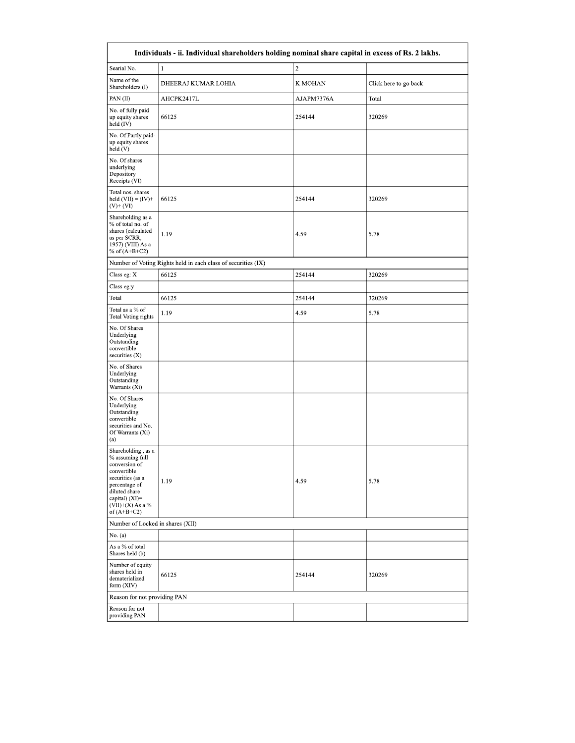| Individuals - ii. Individual shareholders holding nominal share capital in excess of Rs. 2 lakhs.                                                                                    |                                                               |            |                       |  |  |  |  |  |
|--------------------------------------------------------------------------------------------------------------------------------------------------------------------------------------|---------------------------------------------------------------|------------|-----------------------|--|--|--|--|--|
| Searial No.                                                                                                                                                                          | $\mathbf{1}$                                                  | $\sqrt{2}$ |                       |  |  |  |  |  |
| Name of the<br>Shareholders (I)                                                                                                                                                      | DHEERAJ KUMAR LOHIA                                           | K MOHAN    | Click here to go back |  |  |  |  |  |
| PAN(II)                                                                                                                                                                              | AHCPK2417L                                                    | AJAPM7376A | Total                 |  |  |  |  |  |
| No. of fully paid<br>up equity shares<br>held (IV)                                                                                                                                   | 66125                                                         | 254144     | 320269                |  |  |  |  |  |
| No. Of Partly paid-<br>up equity shares<br>held(V)                                                                                                                                   |                                                               |            |                       |  |  |  |  |  |
| No. Of shares<br>underlying<br>Depository<br>Receipts (VI)                                                                                                                           |                                                               |            |                       |  |  |  |  |  |
| Total nos. shares<br>held $(VII) = (IV) +$<br>$(V)$ + $(VI)$                                                                                                                         | 66125                                                         | 254144     | 320269                |  |  |  |  |  |
| Shareholding as a<br>% of total no. of<br>shares (calculated<br>as per SCRR,<br>1957) (VIII) As a<br>% of $(A+B+C2)$                                                                 | 1.19                                                          | 4.59       | 5.78                  |  |  |  |  |  |
|                                                                                                                                                                                      | Number of Voting Rights held in each class of securities (IX) |            |                       |  |  |  |  |  |
| Class eg: X                                                                                                                                                                          | 66125                                                         | 254144     | 320269                |  |  |  |  |  |
| Class eg:y                                                                                                                                                                           |                                                               |            |                       |  |  |  |  |  |
| Total                                                                                                                                                                                | 66125                                                         | 254144     | 320269                |  |  |  |  |  |
| Total as a % of<br>Total Voting rights                                                                                                                                               | 1.19                                                          | 4.59       | 5.78                  |  |  |  |  |  |
| No. Of Shares<br>Underlying<br>Outstanding<br>convertible<br>securities $(X)$                                                                                                        |                                                               |            |                       |  |  |  |  |  |
| No. of Shares<br>Underlying<br>Outstanding<br>Warrants (Xi)                                                                                                                          |                                                               |            |                       |  |  |  |  |  |
| No. Of Shares<br>Underlying<br>Outstanding<br>convertible<br>securities and No.<br>Of Warrants (Xi)<br>(a)                                                                           |                                                               |            |                       |  |  |  |  |  |
| Shareholding, as a<br>% assuming full<br>conversion of<br>convertible<br>securities (as a<br>percentage of<br>diluted share<br>capital) (XI)=<br>$(VII)+(X)$ As a %<br>of $(A+B+C2)$ | 1.19                                                          | 4.59       | 5.78                  |  |  |  |  |  |
| Number of Locked in shares (XII)                                                                                                                                                     |                                                               |            |                       |  |  |  |  |  |
| No. (a)                                                                                                                                                                              |                                                               |            |                       |  |  |  |  |  |
| As a % of total<br>Shares held (b)                                                                                                                                                   |                                                               |            |                       |  |  |  |  |  |
| Number of equity<br>shares held in<br>dematerialized<br>form (XIV)                                                                                                                   | 66125                                                         | 254144     | 320269                |  |  |  |  |  |
| Reason for not providing PAN                                                                                                                                                         |                                                               |            |                       |  |  |  |  |  |
| Reason for not<br>providing PAN                                                                                                                                                      |                                                               |            |                       |  |  |  |  |  |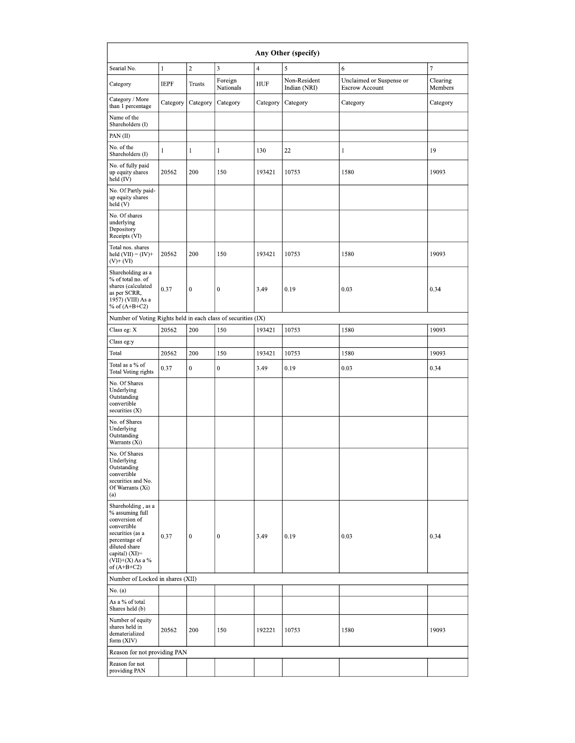| Any Other (specify)                                                                                                                                                                  |              |                  |                      |                |                              |                                                   |                     |  |  |
|--------------------------------------------------------------------------------------------------------------------------------------------------------------------------------------|--------------|------------------|----------------------|----------------|------------------------------|---------------------------------------------------|---------------------|--|--|
| Searial No.                                                                                                                                                                          | $\mathbf{1}$ | $\sqrt{2}$       | 3                    | $\overline{4}$ | 5                            | 6                                                 | $\tau$              |  |  |
| Category                                                                                                                                                                             | <b>IEPF</b>  | <b>Trusts</b>    | Foreign<br>Nationals | HUF            | Non-Resident<br>Indian (NRI) | Unclaimed or Suspense or<br><b>Escrow Account</b> | Clearing<br>Members |  |  |
| Category / More<br>than 1 percentage                                                                                                                                                 | Category     | Category         | Category             | Category       | Category                     | Category                                          | Category            |  |  |
| Name of the<br>Shareholders (I)                                                                                                                                                      |              |                  |                      |                |                              |                                                   |                     |  |  |
| PAN(II)                                                                                                                                                                              |              |                  |                      |                |                              |                                                   |                     |  |  |
| No. of the<br>Shareholders (I)                                                                                                                                                       | 1            | $\mathbf{1}$     | 1                    | 130            | 22                           | 1                                                 | 19                  |  |  |
| No. of fully paid<br>up equity shares<br>held (IV)                                                                                                                                   | 20562        | 200              | 150                  | 193421         | 10753                        | 1580                                              | 19093               |  |  |
| No. Of Partly paid-<br>up equity shares<br>held(V)                                                                                                                                   |              |                  |                      |                |                              |                                                   |                     |  |  |
| No. Of shares<br>underlying<br>Depository<br>Receipts (VI)                                                                                                                           |              |                  |                      |                |                              |                                                   |                     |  |  |
| Total nos. shares<br>held $(VII) = (IV) +$<br>$(V)$ + $(VI)$                                                                                                                         | 20562        | 200              | 150                  | 193421         | 10753                        | 1580                                              | 19093               |  |  |
| Shareholding as a<br>% of total no. of<br>shares (calculated<br>as per SCRR,<br>1957) (VIII) As a<br>% of $(A+B+C2)$                                                                 | 0.37         | $\boldsymbol{0}$ | $\mathbf{0}$         | 3.49           | 0.19                         | 0.03                                              | 0.34                |  |  |
| Number of Voting Rights held in each class of securities (IX)                                                                                                                        |              |                  |                      |                |                              |                                                   |                     |  |  |
| Class eg: X                                                                                                                                                                          | 20562        | 200              | 150                  | 193421         | 10753                        | 1580                                              | 19093               |  |  |
| Class eg:y                                                                                                                                                                           |              |                  |                      |                |                              |                                                   |                     |  |  |
| Total                                                                                                                                                                                | 20562        | 200              | 150                  | 193421         | 10753                        | 1580                                              | 19093               |  |  |
| Total as a % of<br>Total Voting rights                                                                                                                                               | 0.37         | $\boldsymbol{0}$ | $\boldsymbol{0}$     | 3.49           | 0.19                         | 0.03                                              | 0.34                |  |  |
| No. Of Shares<br>Underlying<br>Outstanding<br>convertible<br>securities (X)                                                                                                          |              |                  |                      |                |                              |                                                   |                     |  |  |
| No. of Shares<br>Underlying<br>Outstanding<br>Warrants (Xi)                                                                                                                          |              |                  |                      |                |                              |                                                   |                     |  |  |
| No. Of Shares<br>Underlying<br>Outstanding<br>convertible<br>securities and No.<br>Of Warrants (Xi)<br>(a)                                                                           |              |                  |                      |                |                              |                                                   |                     |  |  |
| Shareholding, as a<br>% assuming full<br>conversion of<br>convertible<br>securities (as a<br>percentage of<br>diluted share<br>capital) (XI)=<br>$(VII)+(X)$ As a %<br>of $(A+B+C2)$ | 0.37         | $\boldsymbol{0}$ | $\mathbf{0}$         | 3.49           | 0.19                         | 0.03                                              | 0.34                |  |  |
| Number of Locked in shares (XII)                                                                                                                                                     |              |                  |                      |                |                              |                                                   |                     |  |  |
| No. (a)                                                                                                                                                                              |              |                  |                      |                |                              |                                                   |                     |  |  |
| As a % of total<br>Shares held (b)                                                                                                                                                   |              |                  |                      |                |                              |                                                   |                     |  |  |
| Number of equity<br>shares held in<br>dematerialized<br>form (XIV)                                                                                                                   | 20562        | 200              | 150                  | 192221         | 10753                        | 1580                                              | 19093               |  |  |
| Reason for not providing PAN                                                                                                                                                         |              |                  |                      |                |                              |                                                   |                     |  |  |
| Reason for not<br>providing PAN                                                                                                                                                      |              |                  |                      |                |                              |                                                   |                     |  |  |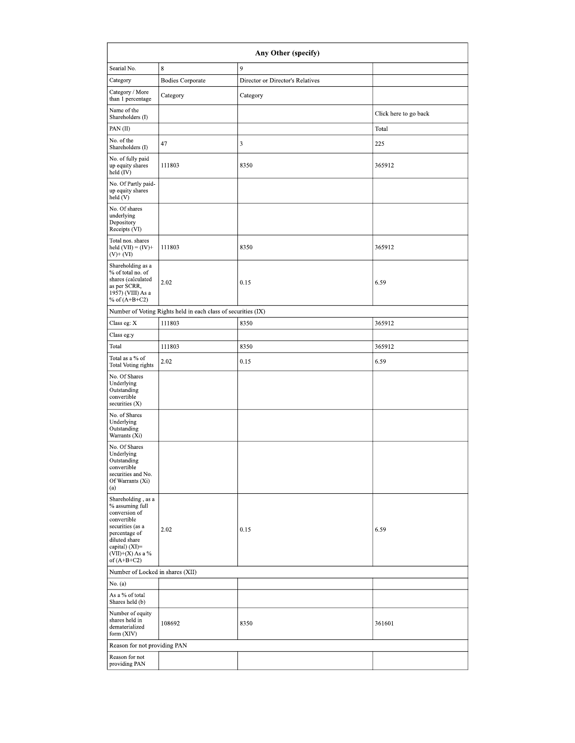| Any Other (specify)                                                                                                                                                                  |                                                               |                                  |                       |  |  |  |  |  |
|--------------------------------------------------------------------------------------------------------------------------------------------------------------------------------------|---------------------------------------------------------------|----------------------------------|-----------------------|--|--|--|--|--|
| Searial No.                                                                                                                                                                          | $\,$ 8 $\,$                                                   | 9                                |                       |  |  |  |  |  |
| Category                                                                                                                                                                             | <b>Bodies Corporate</b>                                       | Director or Director's Relatives |                       |  |  |  |  |  |
| Category / More<br>than 1 percentage                                                                                                                                                 | Category                                                      | Category                         |                       |  |  |  |  |  |
| Name of the<br>Shareholders (I)                                                                                                                                                      |                                                               |                                  | Click here to go back |  |  |  |  |  |
| PAN (II)                                                                                                                                                                             |                                                               |                                  | Total                 |  |  |  |  |  |
| No. of the<br>Shareholders (I)                                                                                                                                                       | 47                                                            | 3                                | 225                   |  |  |  |  |  |
| No. of fully paid<br>up equity shares<br>held (IV)                                                                                                                                   | 111803                                                        | 8350                             | 365912                |  |  |  |  |  |
| No. Of Partly paid-<br>up equity shares<br>held(V)                                                                                                                                   |                                                               |                                  |                       |  |  |  |  |  |
| No. Of shares<br>underlying<br>Depository<br>Receipts (VI)                                                                                                                           |                                                               |                                  |                       |  |  |  |  |  |
| Total nos. shares<br>held $(VII) = (IV)+$<br>$(V)$ + $(VI)$                                                                                                                          | 111803                                                        | 8350                             | 365912                |  |  |  |  |  |
| Shareholding as a<br>% of total no. of<br>shares (calculated<br>as per SCRR,<br>1957) (VIII) As a<br>% of $(A+B+C2)$                                                                 | 2.02                                                          | 0.15                             | 6.59                  |  |  |  |  |  |
|                                                                                                                                                                                      | Number of Voting Rights held in each class of securities (IX) |                                  |                       |  |  |  |  |  |
| Class eg: X                                                                                                                                                                          | 111803                                                        | 8350                             | 365912                |  |  |  |  |  |
| Class eg:y                                                                                                                                                                           |                                                               |                                  |                       |  |  |  |  |  |
| Total                                                                                                                                                                                | 111803                                                        | 8350                             | 365912                |  |  |  |  |  |
| Total as a % of<br><b>Total Voting rights</b>                                                                                                                                        | 2.02                                                          | 0.15                             | 6.59                  |  |  |  |  |  |
| No. Of Shares<br>Underlying<br>Outstanding<br>convertible<br>securities (X)                                                                                                          |                                                               |                                  |                       |  |  |  |  |  |
| No. of Shares<br>Underlying<br>Outstanding<br>Warrants (Xi)                                                                                                                          |                                                               |                                  |                       |  |  |  |  |  |
| No. Of Shares<br>Underlying<br>Outstanding<br>convertible<br>securities and No.<br>Of Warrants (Xi)<br>(a)                                                                           |                                                               |                                  |                       |  |  |  |  |  |
| Shareholding, as a<br>% assuming full<br>conversion of<br>convertible<br>securities (as a<br>percentage of<br>diluted share<br>capital) (XI)=<br>$(VII)+(X)$ As a %<br>of $(A+B+C2)$ | 2.02                                                          | 0.15                             | 6.59                  |  |  |  |  |  |
| Number of Locked in shares (XII)                                                                                                                                                     |                                                               |                                  |                       |  |  |  |  |  |
| No. (a)                                                                                                                                                                              |                                                               |                                  |                       |  |  |  |  |  |
| As a % of total<br>Shares held (b)                                                                                                                                                   |                                                               |                                  |                       |  |  |  |  |  |
| Number of equity<br>shares held in<br>dematerialized<br>form (XIV)                                                                                                                   | 108692                                                        | 8350                             | 361601                |  |  |  |  |  |
| Reason for not providing PAN                                                                                                                                                         |                                                               |                                  |                       |  |  |  |  |  |
| Reason for not<br>providing PAN                                                                                                                                                      |                                                               |                                  |                       |  |  |  |  |  |